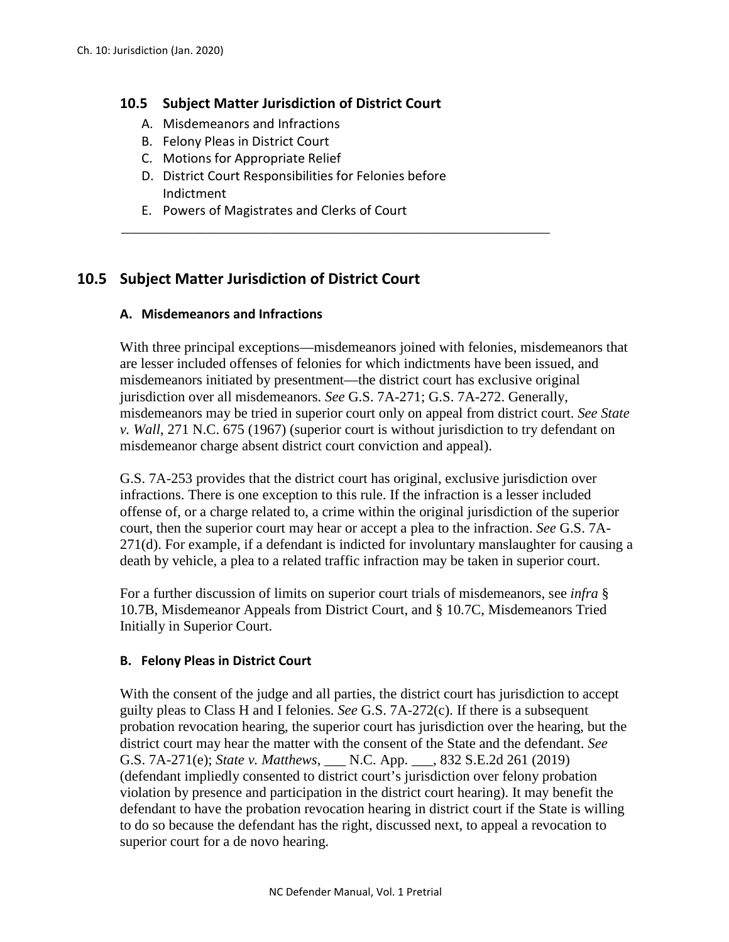### **10.5 Subject Matter Jurisdiction of District Court**

- A. Misdemeanors and Infractions
- B. Felony Pleas in District Court
- C. Motions for Appropriate Relief
- D. District Court Responsibilities for Felonies before Indictment

\_\_\_\_\_\_\_\_\_\_\_\_\_\_\_\_\_\_\_\_\_\_\_\_\_\_\_\_\_\_\_\_\_\_\_\_\_\_\_\_\_\_\_\_\_\_\_\_\_\_\_\_\_\_\_\_\_\_\_\_

E. Powers of Magistrates and Clerks of Court

# **10.5 Subject Matter Jurisdiction of District Court**

### **A. Misdemeanors and Infractions**

With three principal exceptions—misdemeanors joined with felonies, misdemeanors that are lesser included offenses of felonies for which indictments have been issued, and misdemeanors initiated by presentment—the district court has exclusive original jurisdiction over all misdemeanors. *See* G.S. 7A-271; G.S. 7A-272. Generally, misdemeanors may be tried in superior court only on appeal from district court. *See State v. Wall*, 271 N.C. 675 (1967) (superior court is without jurisdiction to try defendant on misdemeanor charge absent district court conviction and appeal).

G.S. 7A-253 provides that the district court has original, exclusive jurisdiction over infractions. There is one exception to this rule. If the infraction is a lesser included offense of, or a charge related to, a crime within the original jurisdiction of the superior court, then the superior court may hear or accept a plea to the infraction. *See* G.S. 7A-271(d). For example, if a defendant is indicted for involuntary manslaughter for causing a death by vehicle, a plea to a related traffic infraction may be taken in superior court.

For a further discussion of limits on superior court trials of misdemeanors, see *infra* § 10.7B, Misdemeanor Appeals from District Court, and § 10.7C, Misdemeanors Tried Initially in Superior Court.

### **B. Felony Pleas in District Court**

With the consent of the judge and all parties, the district court has jurisdiction to accept guilty pleas to Class H and I felonies. *See* G.S. 7A-272(c). If there is a subsequent probation revocation hearing, the superior court has jurisdiction over the hearing, but the district court may hear the matter with the consent of the State and the defendant. *See* G.S. 7A-271(e); *State v. Matthews*, \_\_\_ N.C. App. \_\_\_, 832 S.E.2d 261 (2019) (defendant impliedly consented to district court's jurisdiction over felony probation violation by presence and participation in the district court hearing). It may benefit the defendant to have the probation revocation hearing in district court if the State is willing to do so because the defendant has the right, discussed next, to appeal a revocation to superior court for a de novo hearing.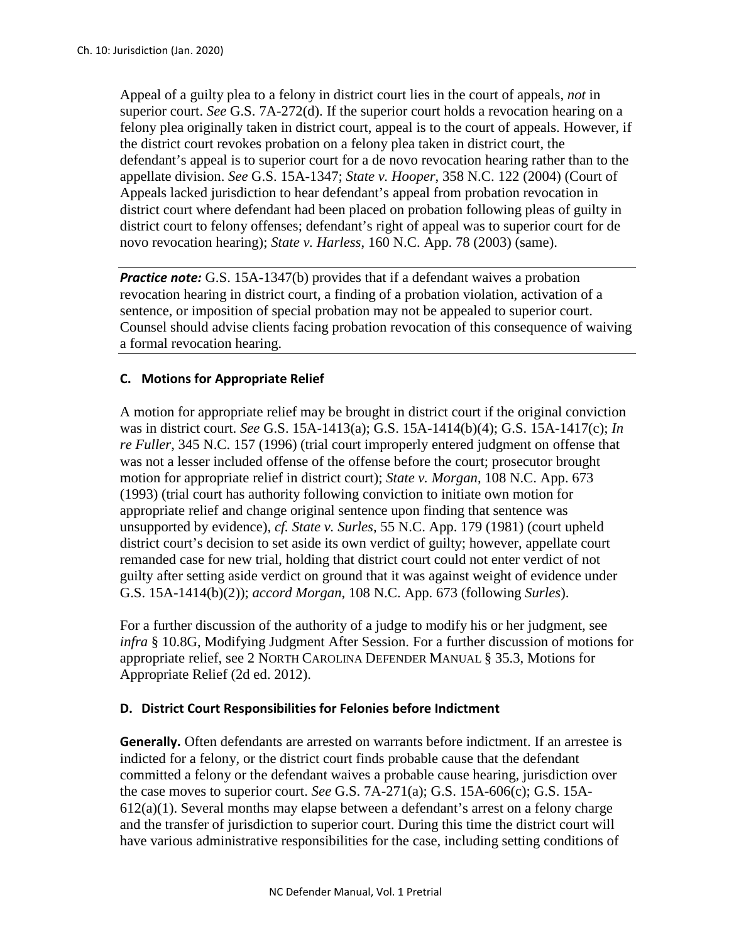Appeal of a guilty plea to a felony in district court lies in the court of appeals, *not* in superior court. *See* G.S. 7A-272(d). If the superior court holds a revocation hearing on a felony plea originally taken in district court, appeal is to the court of appeals. However, if the district court revokes probation on a felony plea taken in district court, the defendant's appeal is to superior court for a de novo revocation hearing rather than to the appellate division. *See* G.S. 15A-1347; *State v. Hooper*, 358 N.C. 122 (2004) (Court of Appeals lacked jurisdiction to hear defendant's appeal from probation revocation in district court where defendant had been placed on probation following pleas of guilty in district court to felony offenses; defendant's right of appeal was to superior court for de novo revocation hearing); *State v. Harless*, 160 N.C. App. 78 (2003) (same).

*Practice note:* G.S. 15A-1347(b) provides that if a defendant waives a probation revocation hearing in district court, a finding of a probation violation, activation of a sentence, or imposition of special probation may not be appealed to superior court. Counsel should advise clients facing probation revocation of this consequence of waiving a formal revocation hearing.

### **C. Motions for Appropriate Relief**

A motion for appropriate relief may be brought in district court if the original conviction was in district court. *See* G.S. 15A-1413(a); G.S. 15A-1414(b)(4); G.S. 15A-1417(c); *In re Fuller*, 345 N.C. 157 (1996) (trial court improperly entered judgment on offense that was not a lesser included offense of the offense before the court; prosecutor brought motion for appropriate relief in district court); *State v. Morgan*, 108 N.C. App. 673 (1993) (trial court has authority following conviction to initiate own motion for appropriate relief and change original sentence upon finding that sentence was unsupported by evidence), *cf. State v. Surles*, 55 N.C. App. 179 (1981) (court upheld district court's decision to set aside its own verdict of guilty; however, appellate court remanded case for new trial, holding that district court could not enter verdict of not guilty after setting aside verdict on ground that it was against weight of evidence under G.S. 15A-1414(b)(2)); *accord Morgan*, 108 N.C. App. 673 (following *Surles*).

For a further discussion of the authority of a judge to modify his or her judgment, see *infra* § 10.8G, Modifying Judgment After Session. For a further discussion of motions for appropriate relief, see 2 NORTH CAROLINA DEFENDER MANUAL § 35.3, Motions for Appropriate Relief (2d ed. 2012).

#### **D. District Court Responsibilities for Felonies before Indictment**

**Generally.** Often defendants are arrested on warrants before indictment. If an arrestee is indicted for a felony, or the district court finds probable cause that the defendant committed a felony or the defendant waives a probable cause hearing, jurisdiction over the case moves to superior court. *See* G.S. 7A-271(a); G.S. 15A-606(c); G.S. 15A-612(a)(1). Several months may elapse between a defendant's arrest on a felony charge and the transfer of jurisdiction to superior court. During this time the district court will have various administrative responsibilities for the case, including setting conditions of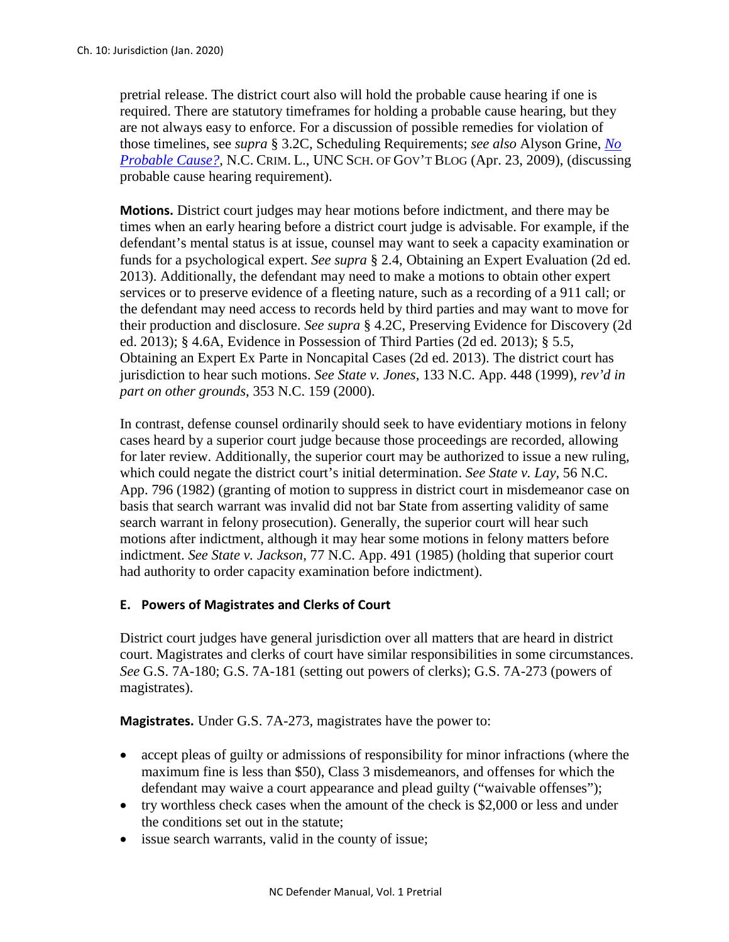pretrial release. The district court also will hold the probable cause hearing if one is required. There are statutory timeframes for holding a probable cause hearing, but they are not always easy to enforce. For a discussion of possible remedies for violation of those timelines, see *supra* § 3.2C, Scheduling Requirements; *see also* Alyson Grine, *[No](https://nccriminallaw.sog.unc.edu/no-probable-cause/)  [Probable Cause?](https://nccriminallaw.sog.unc.edu/no-probable-cause/)*, N.C. CRIM. L., UNC SCH. OF GOV'T BLOG (Apr. 23, 2009), (discussing probable cause hearing requirement).

**Motions.** District court judges may hear motions before indictment, and there may be times when an early hearing before a district court judge is advisable. For example, if the defendant's mental status is at issue, counsel may want to seek a capacity examination or funds for a psychological expert. *See supra* § 2.4, Obtaining an Expert Evaluation (2d ed. 2013). Additionally, the defendant may need to make a motions to obtain other expert services or to preserve evidence of a fleeting nature, such as a recording of a 911 call; or the defendant may need access to records held by third parties and may want to move for their production and disclosure. *See supra* § 4.2C, Preserving Evidence for Discovery (2d ed. 2013); § 4.6A, Evidence in Possession of Third Parties (2d ed. 2013); § 5.5, Obtaining an Expert Ex Parte in Noncapital Cases (2d ed. 2013). The district court has jurisdiction to hear such motions. *See State v. Jones*, 133 N.C. App. 448 (1999), *rev'd in part on other grounds*, 353 N.C. 159 (2000).

In contrast, defense counsel ordinarily should seek to have evidentiary motions in felony cases heard by a superior court judge because those proceedings are recorded, allowing for later review. Additionally, the superior court may be authorized to issue a new ruling, which could negate the district court's initial determination. *See State v. Lay*, 56 N.C. App. 796 (1982) (granting of motion to suppress in district court in misdemeanor case on basis that search warrant was invalid did not bar State from asserting validity of same search warrant in felony prosecution). Generally, the superior court will hear such motions after indictment, although it may hear some motions in felony matters before indictment. *See State v. Jackson*, 77 N.C. App. 491 (1985) (holding that superior court had authority to order capacity examination before indictment).

## **E. Powers of Magistrates and Clerks of Court**

District court judges have general jurisdiction over all matters that are heard in district court. Magistrates and clerks of court have similar responsibilities in some circumstances. *See* G.S. 7A-180; G.S. 7A-181 (setting out powers of clerks); G.S. 7A-273 (powers of magistrates).

**Magistrates.** Under G.S. 7A-273, magistrates have the power to:

- accept pleas of guilty or admissions of responsibility for minor infractions (where the maximum fine is less than \$50), Class 3 misdemeanors, and offenses for which the defendant may waive a court appearance and plead guilty ("waivable offenses");
- try worthless check cases when the amount of the check is \$2,000 or less and under the conditions set out in the statute;
- issue search warrants, valid in the county of issue;